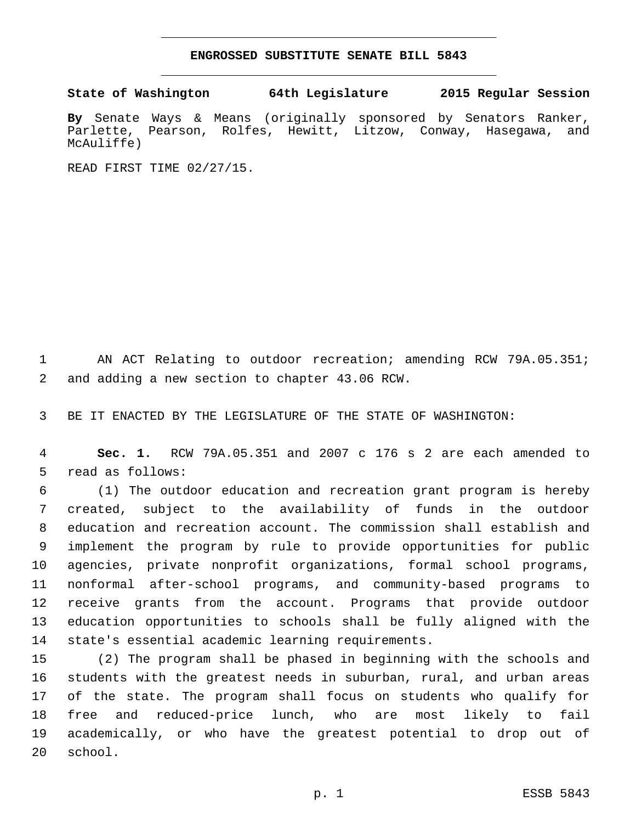## **ENGROSSED SUBSTITUTE SENATE BILL 5843**

**State of Washington 64th Legislature 2015 Regular Session**

**By** Senate Ways & Means (originally sponsored by Senators Ranker, Parlette, Pearson, Rolfes, Hewitt, Litzow, Conway, Hasegawa, and McAuliffe)

READ FIRST TIME 02/27/15.

1 AN ACT Relating to outdoor recreation; amending RCW 79A.05.351; 2 and adding a new section to chapter 43.06 RCW.

3 BE IT ENACTED BY THE LEGISLATURE OF THE STATE OF WASHINGTON:

4 **Sec. 1.** RCW 79A.05.351 and 2007 c 176 s 2 are each amended to 5 read as follows:

 (1) The outdoor education and recreation grant program is hereby created, subject to the availability of funds in the outdoor education and recreation account. The commission shall establish and implement the program by rule to provide opportunities for public agencies, private nonprofit organizations, formal school programs, nonformal after-school programs, and community-based programs to receive grants from the account. Programs that provide outdoor education opportunities to schools shall be fully aligned with the 14 state's essential academic learning requirements.

 (2) The program shall be phased in beginning with the schools and students with the greatest needs in suburban, rural, and urban areas of the state. The program shall focus on students who qualify for free and reduced-price lunch, who are most likely to fail academically, or who have the greatest potential to drop out of 20 school.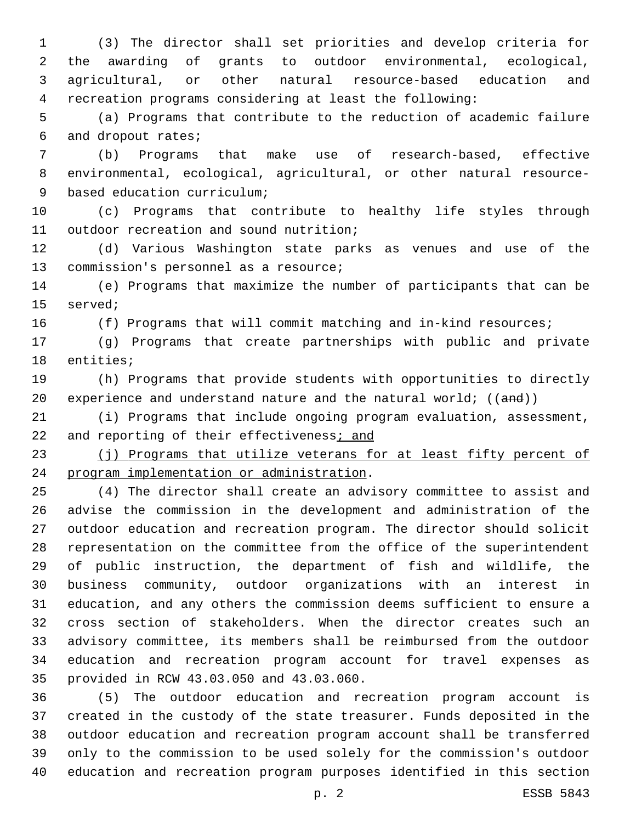(3) The director shall set priorities and develop criteria for the awarding of grants to outdoor environmental, ecological, agricultural, or other natural resource-based education and recreation programs considering at least the following:

 (a) Programs that contribute to the reduction of academic failure 6 and dropout rates;

 (b) Programs that make use of research-based, effective environmental, ecological, agricultural, or other natural resource-9 based education curriculum;

 (c) Programs that contribute to healthy life styles through 11 outdoor recreation and sound nutrition;

 (d) Various Washington state parks as venues and use of the 13 commission's personnel as a resource;

 (e) Programs that maximize the number of participants that can be 15 served;

(f) Programs that will commit matching and in-kind resources;

 (g) Programs that create partnerships with public and private 18 entities;

 (h) Programs that provide students with opportunities to directly 20 experience and understand nature and the natural world;  $((and))$ 

 (i) Programs that include ongoing program evaluation, assessment, 22 and reporting of their effectiveness; and

23 (j) Programs that utilize veterans for at least fifty percent of 24 program implementation or administration.

 (4) The director shall create an advisory committee to assist and advise the commission in the development and administration of the outdoor education and recreation program. The director should solicit representation on the committee from the office of the superintendent of public instruction, the department of fish and wildlife, the business community, outdoor organizations with an interest in education, and any others the commission deems sufficient to ensure a cross section of stakeholders. When the director creates such an advisory committee, its members shall be reimbursed from the outdoor education and recreation program account for travel expenses as 35 provided in RCW 43.03.050 and 43.03.060.

 (5) The outdoor education and recreation program account is created in the custody of the state treasurer. Funds deposited in the outdoor education and recreation program account shall be transferred only to the commission to be used solely for the commission's outdoor education and recreation program purposes identified in this section